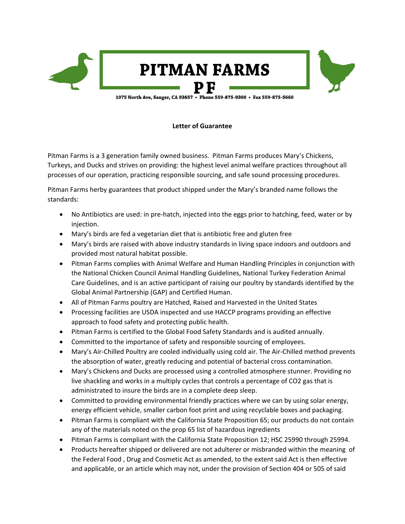

1075 North Ave, Sanger, CA 93657 . Phone 559-875-9300 . Fax 559-875-5660

## **Letter of Guarantee**

Pitman Farms is a 3 generation family owned business. Pitman Farms produces Mary's Chickens, Turkeys, and Ducks and strives on providing: the highest level animal welfare practices throughout all processes of our operation, practicing responsible sourcing, and safe sound processing procedures.

Pitman Farms herby guarantees that product shipped under the Mary's branded name follows the standards:

- No Antibiotics are used: in pre-hatch, injected into the eggs prior to hatching, feed, water or by injection.
- Mary's birds are fed a vegetarian diet that is antibiotic free and gluten free
- Mary's birds are raised with above industry standards in living space indoors and outdoors and provided most natural habitat possible.
- Pitman Farms complies with Animal Welfare and Human Handling Principles in conjunction with the National Chicken Council Animal Handling Guidelines, National Turkey Federation Animal Care Guidelines, and is an active participant of raising our poultry by standards identified by the Global Animal Partnership (GAP) and Certified Human.
- All of Pitman Farms poultry are Hatched, Raised and Harvested in the United States
- Processing facilities are USDA inspected and use HACCP programs providing an effective approach to food safety and protecting public health.
- Pitman Farms is certified to the Global Food Safety Standards and is audited annually.
- Committed to the importance of safety and responsible sourcing of employees.
- Mary's Air-Chilled Poultry are cooled individually using cold air. The Air-Chilled method prevents the absorption of water, greatly reducing and potential of bacterial cross contamination.
- Mary's Chickens and Ducks are processed using a controlled atmosphere stunner. Providing no live shackling and works in a multiply cycles that controls a percentage of CO2 gas that is administrated to insure the birds are in a complete deep sleep.
- Committed to providing environmental friendly practices where we can by using solar energy, energy efficient vehicle, smaller carbon foot print and using recyclable boxes and packaging.
- Pitman Farms is compliant with the California State Proposition 65; our products do not contain any of the materials noted on the prop 65 list of hazardous ingredients
- Pitman Farms is compliant with the California State Proposition 12; HSC 25990 through 25994.
- Products hereafter shipped or delivered are not adulterer or misbranded within the meaning of the Federal Food , Drug and Cosmetic Act as amended, to the extent said Act is then effective and applicable, or an article which may not, under the provision of Section 404 or 505 of said